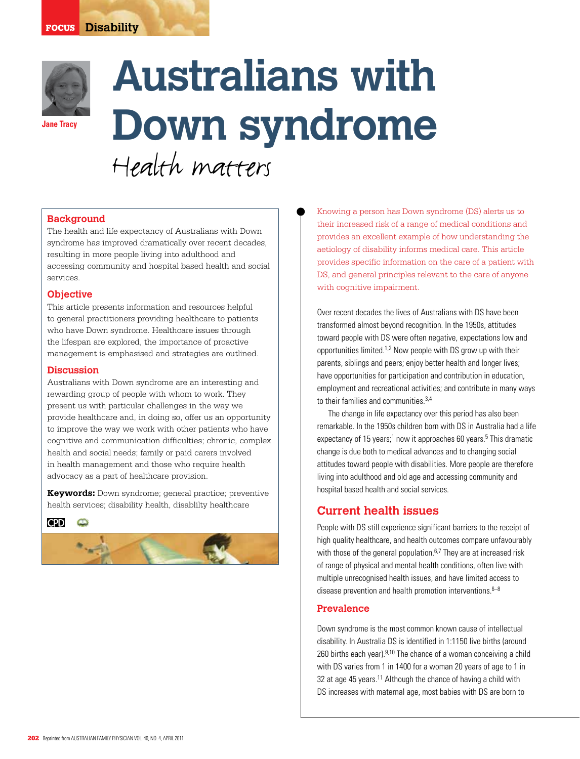

**Jane Tracy** 

# **Australians with Down syndrome** Health matters

## **Background**

The health and life expectancy of Australians with Down syndrome has improved dramatically over recent decades, resulting in more people living into adulthood and accessing community and hospital based health and social services.

## **Objective**

This article presents information and resources helpful to general practitioners providing healthcare to patients who have Down syndrome. Healthcare issues through the lifespan are explored, the importance of proactive management is emphasised and strategies are outlined.

## **Discussion**

Australians with Down syndrome are an interesting and rewarding group of people with whom to work. They present us with particular challenges in the way we provide healthcare and, in doing so, offer us an opportunity to improve the way we work with other patients who have cognitive and communication difficulties; chronic, complex health and social needs; family or paid carers involved in health management and those who require health advocacy as a part of healthcare provision.

**Keywords:** Down syndrome; general practice; preventive health services; disability health, disablilty healthcare

**CPD**  $\Box$ 



Knowing a person has Down syndrome (DS) alerts us to their increased risk of a range of medical conditions and provides an excellent example of how understanding the aetiology of disability informs medical care. This article provides specific information on the care of a patient with DS, and general principles relevant to the care of anyone with cognitive impairment.

Over recent decades the lives of Australians with DS have been transformed almost beyond recognition. In the 1950s, attitudes toward people with DS were often negative, expectations low and opportunities limited.1,2 Now people with DS grow up with their parents, siblings and peers; enjoy better health and longer lives; have opportunities for participation and contribution in education, employment and recreational activities; and contribute in many ways to their families and communities.<sup>3,4</sup>

 The change in life expectancy over this period has also been remarkable. In the 1950s children born with DS in Australia had a life expectancy of 15 years;<sup>1</sup> now it approaches 60 years.<sup>5</sup> This dramatic change is due both to medical advances and to changing social attitudes toward people with disabilities. More people are therefore living into adulthood and old age and accessing community and hospital based health and social services.

# **Current health issues**

People with DS still experience significant barriers to the receipt of high quality healthcare, and health outcomes compare unfavourably with those of the general population.<sup>6,7</sup> They are at increased risk of range of physical and mental health conditions, often live with multiple unrecognised health issues, and have limited access to disease prevention and health promotion interventions. $6-8$ 

## **Prevalence**

Down syndrome is the most common known cause of intellectual disability. In Australia DS is identified in 1:1150 live births (around 260 births each year). $9,10$  The chance of a woman conceiving a child with DS varies from 1 in 1400 for a woman 20 years of age to 1 in 32 at age 45 years.<sup>11</sup> Although the chance of having a child with DS increases with maternal age, most babies with DS are born to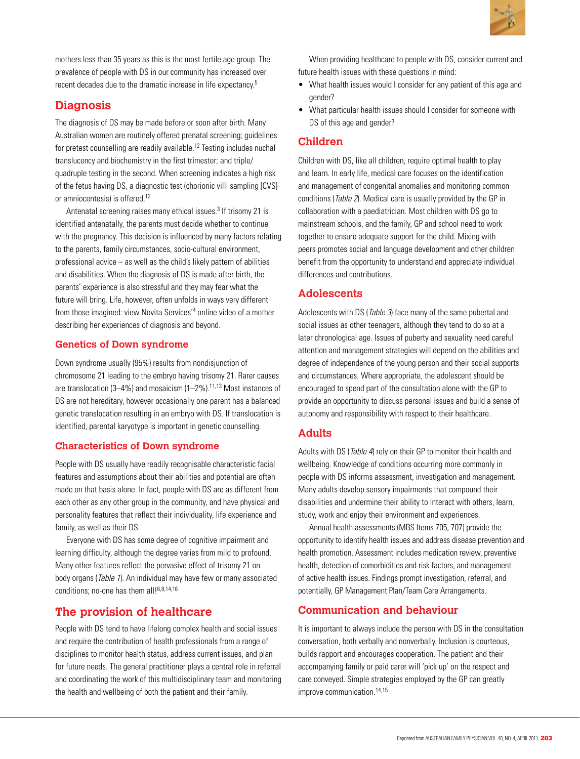

mothers less than 35 years as this is the most fertile age group. The prevalence of people with DS in our community has increased over recent decades due to the dramatic increase in life expectancy.5

# **Diagnosis**

The diagnosis of DS may be made before or soon after birth. Many Australian women are routinely offered prenatal screening; guidelines for pretest counselling are readily available.12 Testing includes nuchal translucency and biochemistry in the first trimester; and triple/ quadruple testing in the second. When screening indicates a high risk of the fetus having DS, a diagnostic test (chorionic villi sampling [CVS] or amniocentesis) is offered.<sup>12</sup>

Antenatal screening raises many ethical issues.<sup>3</sup> If trisomy 21 is identified antenatally, the parents must decide whether to continue with the pregnancy. This decision is influenced by many factors relating to the parents, family circumstances, socio-cultural environment, professional advice – as well as the child's likely pattern of abilities and disabilities. When the diagnosis of DS is made after birth, the parents' experience is also stressful and they may fear what the future will bring. Life, however, often unfolds in ways very different from those imagined: view Novita Services'<sup>4</sup> online video of a mother describing her experiences of diagnosis and beyond.

## **Genetics of Down syndrome**

Down syndrome usually (95%) results from nondisjunction of chromosome 21 leading to the embryo having trisomy 21. Rarer causes are translocation (3–4%) and mosaicism (1–2%).11,13 Most instances of DS are not hereditary, however occasionally one parent has a balanced genetic translocation resulting in an embryo with DS. If translocation is identified, parental karyotype is important in genetic counselling.

## **Characteristics of Down syndrome**

People with DS usually have readily recognisable characteristic facial features and assumptions about their abilities and potential are often made on that basis alone. In fact, people with DS are as different from each other as any other group in the community, and have physical and personality features that reflect their individuality, life experience and family, as well as their DS.

Everyone with DS has some degree of cognitive impairment and learning difficulty, although the degree varies from mild to profound. Many other features reflect the pervasive effect of trisomy 21 on body organs (Table 1). An individual may have few or many associated conditions; no-one has them all!<sup>6,8,14,16</sup>

# **The provision of healthcare**

People with DS tend to have lifelong complex health and social issues and require the contribution of health professionals from a range of disciplines to monitor health status, address current issues, and plan for future needs. The general practitioner plays a central role in referral and coordinating the work of this multidisciplinary team and monitoring the health and wellbeing of both the patient and their family.

When providing healthcare to people with DS, consider current and future health issues with these questions in mind:

- What health issues would I consider for any patient of this age and gender?
- What particular health issues should I consider for someone with DS of this age and gender?

## **Children**

Children with DS, like all children, require optimal health to play and learn. In early life, medical care focuses on the identification and management of congenital anomalies and monitoring common conditions (Table 2). Medical care is usually provided by the GP in collaboration with a paediatrician. Most children with DS go to mainstream schools, and the family, GP and school need to work together to ensure adequate support for the child. Mixing with peers promotes social and language development and other children benefit from the opportunity to understand and appreciate individual differences and contributions.

# **Adolescents**

Adolescents with DS (Table 3) face many of the same pubertal and social issues as other teenagers, although they tend to do so at a later chronological age. Issues of puberty and sexuality need careful attention and management strategies will depend on the abilities and degree of independence of the young person and their social supports and circumstances. Where appropriate, the adolescent should be encouraged to spend part of the consultation alone with the GP to provide an opportunity to discuss personal issues and build a sense of autonomy and responsibility with respect to their healthcare.

## **Adults**

Adults with DS (*Table 4*) rely on their GP to monitor their health and wellbeing. Knowledge of conditions occurring more commonly in people with DS informs assessment, investigation and management. Many adults develop sensory impairments that compound their disabilities and undermine their ability to interact with others, learn, study, work and enjoy their environment and experiences.

Annual health assessments (MBS Items 705, 707) provide the opportunity to identify health issues and address disease prevention and health promotion. Assessment includes medication review, preventive health, detection of comorbidities and risk factors, and management of active health issues. Findings prompt investigation, referral, and potentially, GP Management Plan/Team Care Arrangements.

# **Communication and behaviour**

It is important to always include the person with DS in the consultation conversation, both verbally and nonverbally. Inclusion is courteous, builds rapport and encourages cooperation. The patient and their accompanying family or paid carer will 'pick up' on the respect and care conveyed. Simple strategies employed by the GP can greatly improve communication.14,15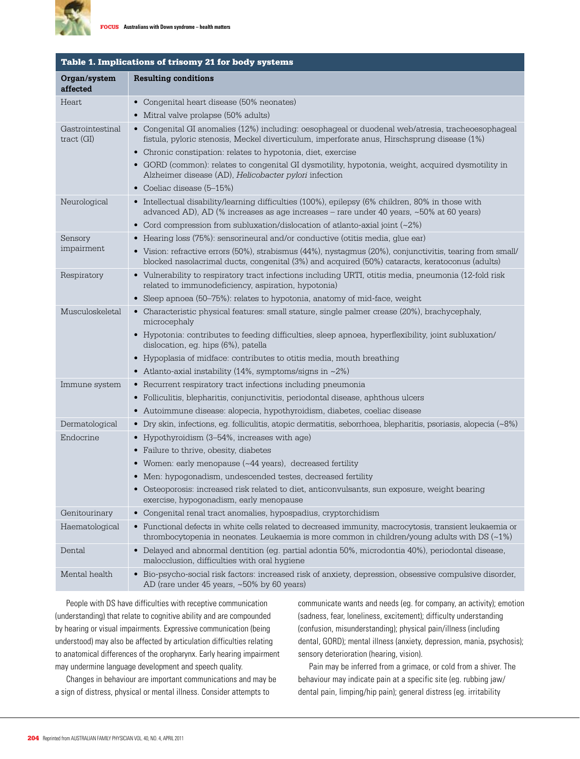

| Table 1. Implications of trisomy 21 for body systems |                                                                                                                                                                                                                |
|------------------------------------------------------|----------------------------------------------------------------------------------------------------------------------------------------------------------------------------------------------------------------|
| Organ/system<br>affected                             | <b>Resulting conditions</b>                                                                                                                                                                                    |
| Heart                                                | • Congenital heart disease (50% neonates)                                                                                                                                                                      |
|                                                      | • Mitral valve prolapse (50% adults)                                                                                                                                                                           |
| Gastrointestinal<br>$\text{tract}(\text{GI})$        | • Congenital GI anomalies (12%) including: oesophageal or duodenal web/atresia, tracheoesophageal<br>fistula, pyloric stenosis, Meckel diverticulum, imperforate anus, Hirschsprung disease (1%)               |
|                                                      | • Chronic constipation: relates to hypotonia, diet, exercise                                                                                                                                                   |
|                                                      | • GORD (common): relates to congenital GI dysmotility, hypotonia, weight, acquired dysmotility in<br>Alzheimer disease (AD), Helicobacter pylori infection                                                     |
|                                                      | • Coeliac disease (5-15%)                                                                                                                                                                                      |
| Neurological                                         | • Intellectual disability/learning difficulties (100%), epilepsy (6% children, 80% in those with<br>advanced AD), AD (% increases as age increases – rare under 40 years, ~50% at 60 years)                    |
|                                                      | • Cord compression from subluxation/dislocation of atlanto-axial joint $(\sim 2\%)$                                                                                                                            |
| Sensory                                              | • Hearing loss (75%): sensorineural and/or conductive (otitis media, glue ear)                                                                                                                                 |
| impairment                                           | • Vision: refractive errors (50%), strabismus (44%), nystagmus (20%), conjunctivitis, tearing from small/<br>blocked nasolacrimal ducts, congenital (3%) and acquired (50%) cataracts, keratoconus (adults)    |
| Respiratory                                          | • Vulnerability to respiratory tract infections including URTI, otitis media, pneumonia (12-fold risk<br>related to immunodeficiency, aspiration, hypotonia)                                                   |
|                                                      | • Sleep apnoea (50–75%): relates to hypotonia, anatomy of mid-face, weight                                                                                                                                     |
| Musculoskeletal                                      | • Characteristic physical features: small stature, single palmer crease (20%), brachycephaly,<br>microcephaly                                                                                                  |
|                                                      | • Hypotonia: contributes to feeding difficulties, sleep apnoea, hyperflexibility, joint subluxation/<br>dislocation, eg. hips (6%), patella                                                                    |
|                                                      | • Hypoplasia of midface: contributes to otitis media, mouth breathing                                                                                                                                          |
|                                                      | • Atlanto-axial instability (14%, symptoms/signs in $\sim$ 2%)                                                                                                                                                 |
| Immune system                                        | • Recurrent respiratory tract infections including pneumonia                                                                                                                                                   |
|                                                      | • Folliculitis, blepharitis, conjunctivitis, periodontal disease, aphthous ulcers                                                                                                                              |
|                                                      | • Autoimmune disease: alopecia, hypothyroidism, diabetes, coeliac disease                                                                                                                                      |
| Dermatological                                       | • Dry skin, infections, eg. folliculitis, atopic dermatitis, seborrhoea, blepharitis, psoriasis, alopecia (~8%)                                                                                                |
| Endocrine                                            | • Hypothyroidism (3–54%, increases with age)                                                                                                                                                                   |
|                                                      | • Failure to thrive, obesity, diabetes                                                                                                                                                                         |
|                                                      | • Women: early menopause (~44 years), decreased fertility                                                                                                                                                      |
|                                                      | • Men: hypogonadism, undescended testes, decreased fertility                                                                                                                                                   |
|                                                      | · Osteoporosis: increased risk related to diet, anticonvulsants, sun exposure, weight bearing<br>exercise, hypogonadism, early menopause                                                                       |
| Genitourinary                                        | • Congenital renal tract anomalies, hypospadius, cryptorchidism                                                                                                                                                |
| Haematological                                       | • Functional defects in white cells related to decreased immunity, macrocytosis, transient leukaemia or<br>thrombocytopenia in neonates. Leukaemia is more common in children/young adults with DS $(\sim1\%)$ |
| Dental                                               | • Delayed and abnormal dentition (eg. partial adontia 50%, microdontia 40%), periodontal disease,<br>malocclusion, difficulties with oral hygiene                                                              |
| Mental health                                        | • Bio-psycho-social risk factors: increased risk of anxiety, depression, obsessive compulsive disorder,<br>AD (rare under 45 years, ~50% by 60 years)                                                          |

People with DS have difficulties with receptive communication (understanding) that relate to cognitive ability and are compounded by hearing or visual impairments. Expressive communication (being understood) may also be affected by articulation difficulties relating to anatomical differences of the oropharynx. Early hearing impairment may undermine language development and speech quality.

 Changes in behaviour are important communications and may be a sign of distress, physical or mental illness. Consider attempts to

communicate wants and needs (eg. for company, an activity); emotion (sadness, fear, loneliness, excitement); difficulty understanding (confusion, misunderstanding); physical pain/illness (including dental, GORD); mental illness (anxiety, depression, mania, psychosis); sensory deterioration (hearing, vision).

Pain may be inferred from a grimace, or cold from a shiver. The behaviour may indicate pain at a specific site (eg. rubbing jaw/ dental pain, limping/hip pain); general distress (eg. irritability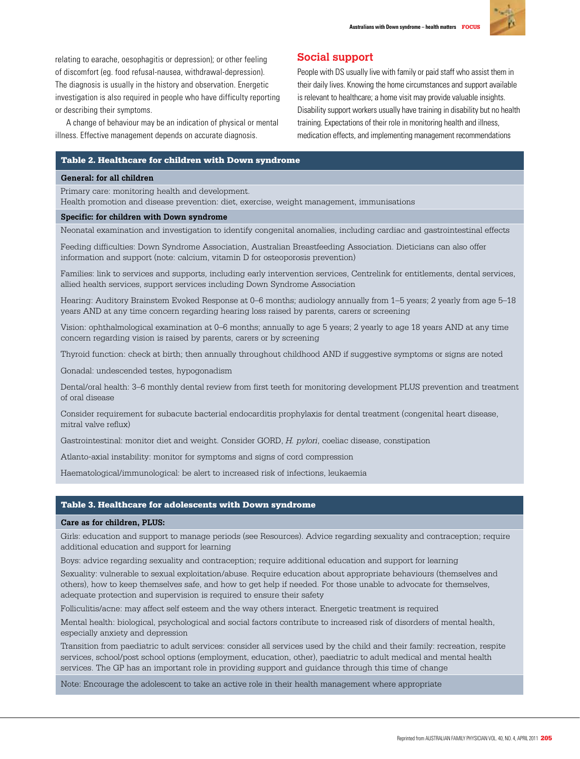

relating to earache, oesophagitis or depression); or other feeling of discomfort (eg. food refusal-nausea, withdrawal-depression). The diagnosis is usually in the history and observation. Energetic investigation is also required in people who have difficulty reporting or describing their symptoms.

A change of behaviour may be an indication of physical or mental illness. Effective management depends on accurate diagnosis.

# **Social support**

People with DS usually live with family or paid staff who assist them in their daily lives. Knowing the home circumstances and support available is relevant to healthcare; a home visit may provide valuable insights. Disability support workers usually have training in disability but no health training. Expectations of their role in monitoring health and illness, medication effects, and implementing management recommendations

#### Table 2. Healthcare for children with Down syndrome

#### **General: for all children**

Primary care: monitoring health and development.

Health promotion and disease prevention: diet, exercise, weight management, immunisations

#### **Specific: for children with Down syndrome**

Neonatal examination and investigation to identify congenital anomalies, including cardiac and gastrointestinal effects

Feeding difficulties: Down Syndrome Association, Australian Breastfeeding Association. Dieticians can also offer information and support (note: calcium, vitamin D for osteoporosis prevention)

Families: link to services and supports, including early intervention services, Centrelink for entitlements, dental services, allied health services, support services including Down Syndrome Association

Hearing: Auditory Brainstem Evoked Response at 0–6 months; audiology annually from 1–5 years; 2 yearly from age 5–18 years AND at any time concern regarding hearing loss raised by parents, carers or screening

Vision: ophthalmological examination at 0–6 months; annually to age 5 years; 2 yearly to age 18 years AND at any time concern regarding vision is raised by parents, carers or by screening

Thyroid function: check at birth; then annually throughout childhood AND if suggestive symptoms or signs are noted

Gonadal: undescended testes, hypogonadism

Dental/oral health: 3–6 monthly dental review from first teeth for monitoring development PLUS prevention and treatment of oral disease

Consider requirement for subacute bacterial endocarditis prophylaxis for dental treatment (congenital heart disease, mitral valve reflux)

Gastrointestinal: monitor diet and weight. Consider GORD, *H. pylori*, coeliac disease, constipation

Atlanto-axial instability: monitor for symptoms and signs of cord compression

Haematological/immunological: be alert to increased risk of infections, leukaemia

## Table 3. Healthcare for adolescents with Down syndrome

#### **Care as for children, PLUS:**

Girls: education and support to manage periods (see Resources). Advice regarding sexuality and contraception; require additional education and support for learning

Boys: advice regarding sexuality and contraception; require additional education and support for learning

Sexuality: vulnerable to sexual exploitation/abuse. Require education about appropriate behaviours (themselves and others), how to keep themselves safe, and how to get help if needed. For those unable to advocate for themselves, adequate protection and supervision is required to ensure their safety

Folliculitis/acne: may affect self esteem and the way others interact. Energetic treatment is required

Mental health: biological, psychological and social factors contribute to increased risk of disorders of mental health, especially anxiety and depression

Transition from paediatric to adult services: consider all services used by the child and their family: recreation, respite services, school/post school options (employment, education, other), paediatric to adult medical and mental health services. The GP has an important role in providing support and guidance through this time of change

Note: Encourage the adolescent to take an active role in their health management where appropriate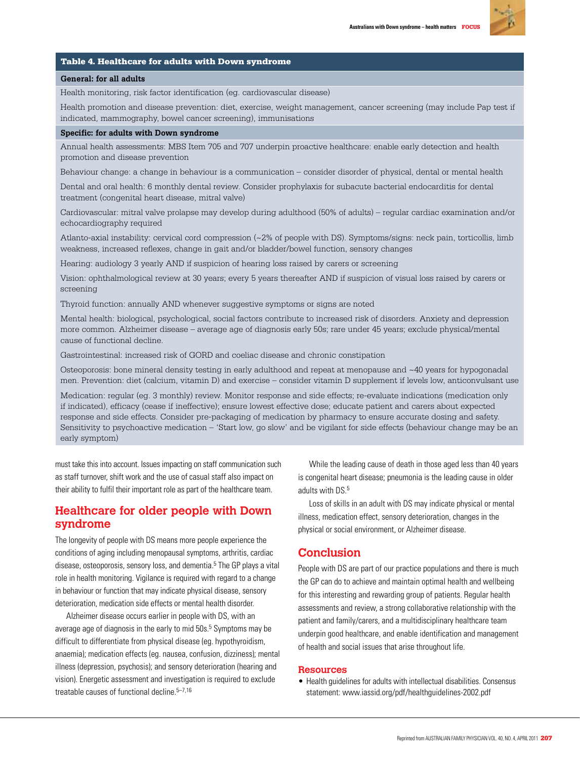

#### Table 4. Healthcare for adults with Down syndrome

#### **General: for all adults**

Health monitoring, risk factor identification (eg. cardiovascular disease)

Health promotion and disease prevention: diet, exercise, weight management, cancer screening (may include Pap test if indicated, mammography, bowel cancer screening), immunisations

## **Specific: for adults with Down syndrome**

Annual health assessments: MBS Item 705 and 707 underpin proactive healthcare: enable early detection and health promotion and disease prevention

Behaviour change: a change in behaviour is a communication – consider disorder of physical, dental or mental health

Dental and oral health: 6 monthly dental review. Consider prophylaxis for subacute bacterial endocarditis for dental treatment (congenital heart disease, mitral valve)

Cardiovascular: mitral valve prolapse may develop during adulthood (50% of adults) – regular cardiac examination and/or echocardiography required

Atlanto-axial instability: cervical cord compression (~2% of people with DS). Symptoms/signs: neck pain, torticollis, limb weakness, increased reflexes, change in gait and/or bladder/bowel function, sensory changes

Hearing: audiology 3 yearly AND if suspicion of hearing loss raised by carers or screening

Vision: ophthalmological review at 30 years; every 5 years thereafter AND if suspicion of visual loss raised by carers or screening

Thyroid function: annually AND whenever suggestive symptoms or signs are noted

Mental health: biological, psychological, social factors contribute to increased risk of disorders. Anxiety and depression more common. Alzheimer disease – average age of diagnosis early 50s; rare under 45 years; exclude physical/mental cause of functional decline.

Gastrointestinal: increased risk of GORD and coeliac disease and chronic constipation

Osteoporosis: bone mineral density testing in early adulthood and repeat at menopause and ~40 years for hypogonadal men. Prevention: diet (calcium, vitamin D) and exercise – consider vitamin D supplement if levels low, anticonvulsant use

Medication: regular (eg. 3 monthly) review. Monitor response and side effects; re-evaluate indications (medication only if indicated), efficacy (cease if ineffective); ensure lowest effective dose; educate patient and carers about expected response and side effects. Consider pre-packaging of medication by pharmacy to ensure accurate dosing and safety. Sensitivity to psychoactive medication – 'Start low, go slow' and be vigilant for side effects (behaviour change may be an early symptom)

must take this into account. Issues impacting on staff communication such as staff turnover, shift work and the use of casual staff also impact on their ability to fulfil their important role as part of the healthcare team.

# **Healthcare for older people with Down syndrome**

The longevity of people with DS means more people experience the conditions of aging including menopausal symptoms, arthritis, cardiac disease, osteoporosis, sensory loss, and dementia.5 The GP plays a vital role in health monitoring. Vigilance is required with regard to a change in behaviour or function that may indicate physical disease, sensory deterioration, medication side effects or mental health disorder.

Alzheimer disease occurs earlier in people with DS, with an average age of diagnosis in the early to mid 50s.<sup>5</sup> Symptoms may be difficult to differentiate from physical disease (eg. hypothyroidism, anaemia); medication effects (eg. nausea, confusion, dizziness); mental illness (depression, psychosis); and sensory deterioration (hearing and vision). Energetic assessment and investigation is required to exclude treatable causes of functional decline.<sup>5-7,16</sup>

While the leading cause of death in those aged less than 40 years is congenital heart disease; pneumonia is the leading cause in older adults with DS. 5

Loss of skills in an adult with DS may indicate physical or mental illness, medication effect, sensory deterioration, changes in the physical or social environment, or Alzheimer disease.

# **Conclusion**

People with DS are part of our practice populations and there is much the GP can do to achieve and maintain optimal health and wellbeing for this interesting and rewarding group of patients. Regular health assessments and review, a strong collaborative relationship with the patient and family/carers, and a multidisciplinary healthcare team underpin good healthcare, and enable identification and management of health and social issues that arise throughout life.

#### **Resources**

• Health guidelines for adults with intellectual disabilities. Consensus statement: www.iassid.org/pdf/healthguidelines-2002.pdf